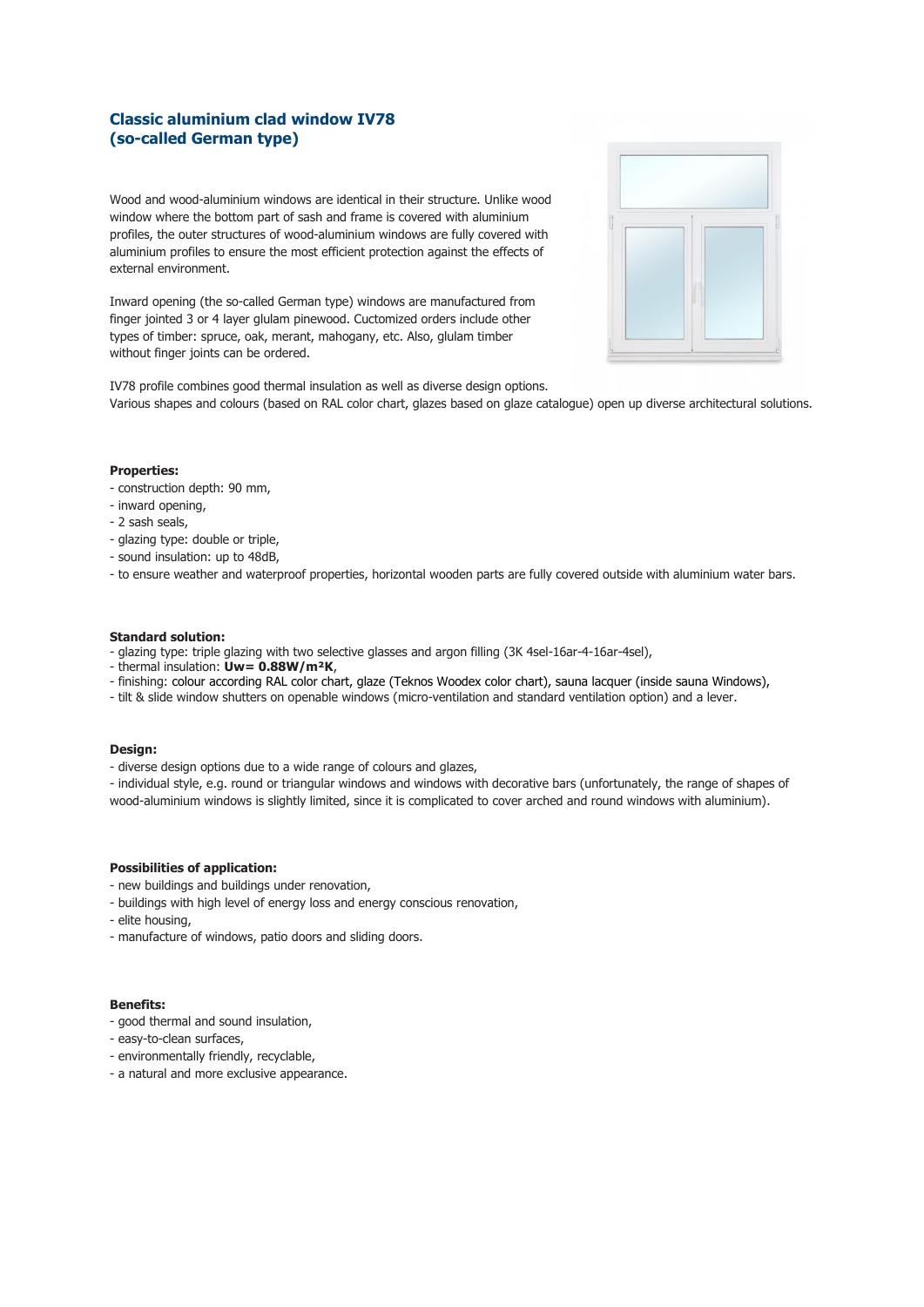# **Classic aluminium clad window IV78 (so-called German type)**

Wood and wood-aluminium windows are identical in their structure. Unlike wood window where the bottom part of sash and frame is covered with aluminium profiles, the outer structures of wood-aluminium windows are fully covered with aluminium profiles to ensure the most efficient protection against the effects of external environment.

Inward opening (the so-called German type) windows are manufactured from finger jointed 3 or 4 layer glulam pinewood. Cuctomized orders include other types of timber: spruce, oak, merant, mahogany, etc. Also, glulam timber without finger joints can be ordered.



IV78 profile combines good thermal insulation as well as diverse design options. Various shapes and colours (based on RAL color chart, glazes based on glaze catalogue) open up diverse architectural solutions.

#### **Properties:**

- construction depth: 90 mm,
- inward opening,
- 2 sash seals,
- glazing type: double or triple,
- sound insulation: up to 48dB,
- to ensure weather and waterproof properties, horizontal wooden parts are fully covered outside with aluminium water bars.

## **Standard solution:**

- glazing type: triple glazing with two selective glasses and argon filling (3K 4sel-16ar-4-16ar-4sel),
- thermal insulation: **Uw= 0.88W/m²K**,
- finishing: colour according RAL color chart, glaze (Teknos Woodex color chart), sauna lacquer (inside sauna Windows),
- tilt & slide window shutters on openable windows (micro-ventilation and standard ventilation option) and a lever.

## **Design:**

- diverse design options due to a wide range of colours and glazes,

- individual style, e.g. round or triangular windows and windows with decorative bars (unfortunately, the range of shapes of wood-aluminium windows is slightly limited, since it is complicated to cover arched and round windows with aluminium).

## **Possibilities of application:**

- new buildings and buildings under renovation,
- buildings with high level of energy loss and energy conscious renovation,
- elite housing,
- manufacture of windows, patio doors and sliding doors.

## **Benefits:**

- good thermal and sound insulation,
- easy-to-clean surfaces,
- environmentally friendly, recyclable,
- a natural and more exclusive appearance.